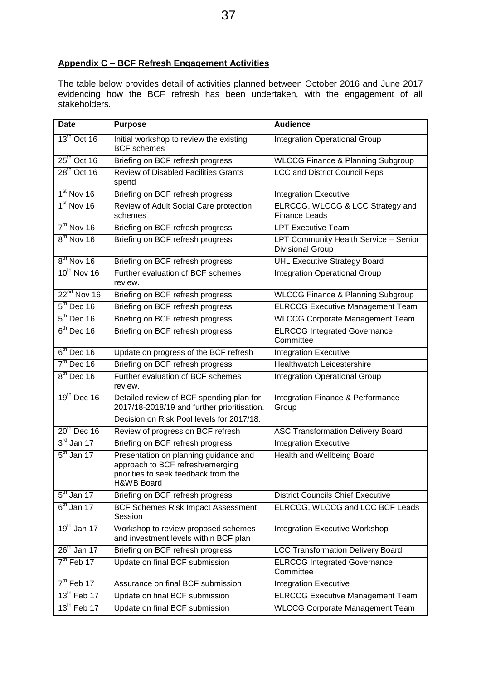## **Appendix C – BCF Refresh Engagement Activities**

The table below provides detail of activities planned between October 2016 and June 2017 evidencing how the BCF refresh has been undertaken, with the engagement of all stakeholders.

| <b>Date</b>             | Purpose                                                                                                                         | <b>Audience</b>                                                  |
|-------------------------|---------------------------------------------------------------------------------------------------------------------------------|------------------------------------------------------------------|
| $13^{\text{th}}$ Oct 16 | Initial workshop to review the existing<br><b>BCF</b> schemes                                                                   | <b>Integration Operational Group</b>                             |
| $25th$ Oct 16           | Briefing on BCF refresh progress                                                                                                | <b>WLCCG Finance &amp; Planning Subgroup</b>                     |
| $28th$ Oct 16           | <b>Review of Disabled Facilities Grants</b><br>spend                                                                            | <b>LCC and District Council Reps</b>                             |
| $1st$ Nov 16            | Briefing on BCF refresh progress                                                                                                | <b>Integration Executive</b>                                     |
| $1st$ Nov 16            | Review of Adult Social Care protection<br>schemes                                                                               | ELRCCG, WLCCG & LCC Strategy and<br><b>Finance Leads</b>         |
| $7th$ Nov 16            | Briefing on BCF refresh progress                                                                                                | <b>LPT Executive Team</b>                                        |
| $8th$ Nov 16            | Briefing on BCF refresh progress                                                                                                | LPT Community Health Service - Senior<br><b>Divisional Group</b> |
| $8th$ Nov 16            | Briefing on BCF refresh progress                                                                                                | <b>UHL Executive Strategy Board</b>                              |
| $10^{th}$ Nov 16        | Further evaluation of BCF schemes<br>review.                                                                                    | Integration Operational Group                                    |
| $22^{nd}$ Nov 16        | Briefing on BCF refresh progress                                                                                                | <b>WLCCG Finance &amp; Planning Subgroup</b>                     |
| $5th$ Dec 16            | Briefing on BCF refresh progress                                                                                                | <b>ELRCCG Executive Management Team</b>                          |
| $5th$ Dec 16            | Briefing on BCF refresh progress                                                                                                | <b>WLCCG Corporate Management Team</b>                           |
| $6th$ Dec 16            | Briefing on BCF refresh progress                                                                                                | <b>ELRCCG Integrated Governance</b><br>Committee                 |
| $6th$ Dec 16            | Update on progress of the BCF refresh                                                                                           | <b>Integration Executive</b>                                     |
| $7th$ Dec 16            | Briefing on BCF refresh progress                                                                                                | <b>Healthwatch Leicestershire</b>                                |
| $8th$ Dec 16            | Further evaluation of BCF schemes<br>review.                                                                                    | Integration Operational Group                                    |
| $19th$ Dec 16           | Detailed review of BCF spending plan for<br>2017/18-2018/19 and further prioritisation.                                         | Integration Finance & Performance<br>Group                       |
|                         | Decision on Risk Pool levels for 2017/18.                                                                                       |                                                                  |
| $20th$ Dec 16           | Review of progress on BCF refresh                                                                                               | <b>ASC Transformation Delivery Board</b>                         |
| $3rd$ Jan 17            | Briefing on BCF refresh progress                                                                                                | <b>Integration Executive</b>                                     |
| $5th$ Jan 17            | Presentation on planning guidance and<br>approach to BCF refresh/emerging<br>priorities to seek feedback from the<br>H&WB Board | <b>Health and Wellbeing Board</b>                                |
| $5th$ Jan 17            | Briefing on BCF refresh progress                                                                                                | <b>District Councils Chief Executive</b>                         |
| $6th$ Jan 17            | <b>BCF Schemes Risk Impact Assessment</b><br>Session                                                                            | ELRCCG, WLCCG and LCC BCF Leads                                  |
| $19th$ Jan 17           | Workshop to review proposed schemes<br>and investment levels within BCF plan                                                    | <b>Integration Executive Workshop</b>                            |
| $26th$ Jan 17           | Briefing on BCF refresh progress                                                                                                | <b>LCC Transformation Delivery Board</b>                         |
| $7th$ Feb 17            | Update on final BCF submission                                                                                                  | <b>ELRCCG Integrated Governance</b><br>Committee                 |
| $7th$ Feb 17            | Assurance on final BCF submission                                                                                               | <b>Integration Executive</b>                                     |
| $13th$ Feb 17           | Update on final BCF submission                                                                                                  | <b>ELRCCG Executive Management Team</b>                          |
| $13th$ Feb 17           | Update on final BCF submission                                                                                                  | <b>WLCCG Corporate Management Team</b>                           |